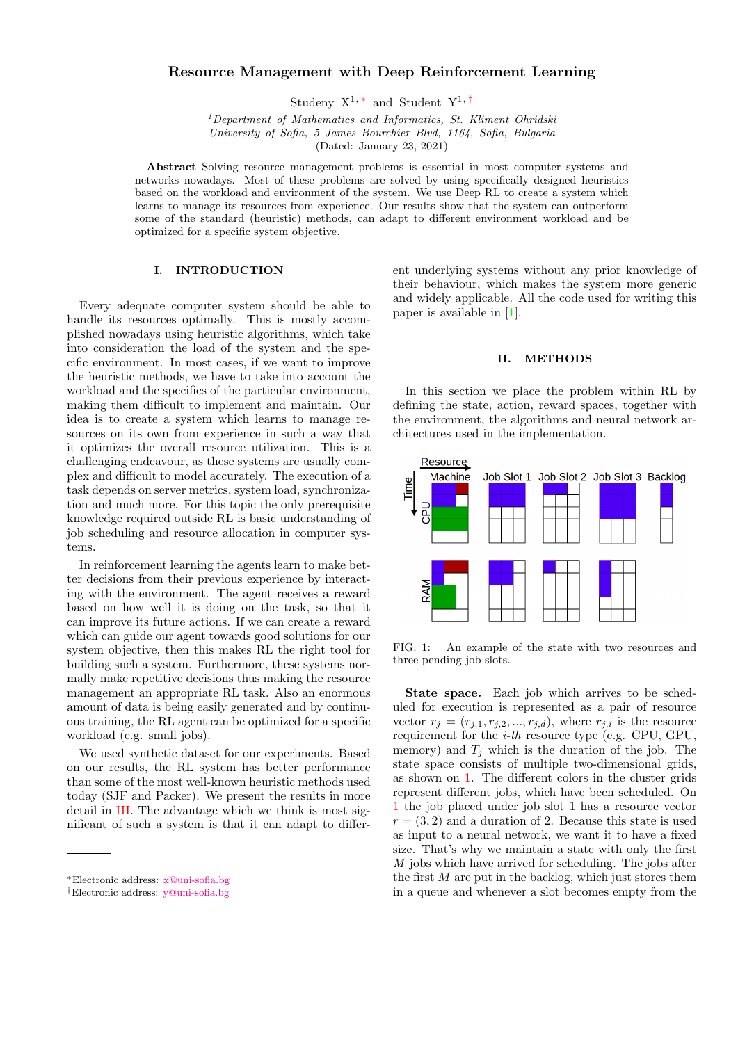# Resource Management with Deep Reinforcement Learning

Studeny  $X^{1,*}$  and Student  $Y^{1,+}$ 

 $1$ Department of Mathematics and Informatics, St. Kliment Ohridski University of Sofia, 5 James Bourchier Blvd, 1164, Sofia, Bulgaria (Dated: January 23, 2021)

Abstract Solving resource management problems is essential in most computer systems and networks nowadays. Most of these problems are solved by using specifically designed heuristics based on the workload and environment of the system. We use Deep RL to create a system which learns to manage its resources from experience. Our results show that the system can outperform some of the standard (heuristic) methods, can adapt to different environment workload and be optimized for a specific system objective.

## I. INTRODUCTION

Every adequate computer system should be able to handle its resources optimally. This is mostly accomplished nowadays using heuristic algorithms, which take into consideration the load of the system and the specific environment. In most cases, if we want to improve the heuristic methods, we have to take into account the workload and the specifics of the particular environment, making them difficult to implement and maintain. Our idea is to create a system which learns to manage resources on its own from experience in such a way that it optimizes the overall resource utilization. This is a challenging endeavour, as these systems are usually complex and difficult to model accurately. The execution of a task depends on server metrics, system load, synchronization and much more. For this topic the only prerequisite knowledge required outside RL is basic understanding of job scheduling and resource allocation in computer systems.

In reinforcement learning the agents learn to make better decisions from their previous experience by interacting with the environment. The agent receives a reward based on how well it is doing on the task, so that it can improve its future actions. If we can create a reward which can guide our agent towards good solutions for our system objective, then this makes RL the right tool for building such a system. Furthermore, these systems normally make repetitive decisions thus making the resource management an appropriate RL task. Also an enormous amount of data is being easily generated and by continuous training, the RL agent can be optimized for a specific workload (e.g. small jobs).

We used synthetic dataset for our experiments. Based on our results, the RL system has better performance than some of the most well-known heuristic methods used today (SJF and Packer). We present the results in more detail in [III.](#page-2-0) The advantage which we think is most significant of such a system is that it can adapt to different underlying systems without any prior knowledge of their behaviour, which makes the system more generic and widely applicable. All the code used for writing this paper is available in [\[1\]](#page-4-0).

## II. METHODS

In this section we place the problem within RL by defining the state, action, reward spaces, together with the environment, the algorithms and neural network architectures used in the implementation.



<span id="page-0-2"></span>FIG. 1: An example of the state with two resources and three pending job slots.

State space. Each job which arrives to be scheduled for execution is represented as a pair of resource vector  $r_j = (r_{j,1}, r_{j,2}, ..., r_{j,d})$ , where  $r_{j,i}$  is the resource requirement for the i-th resource type (e.g. CPU, GPU, memory) and  $T_i$  which is the duration of the job. The state space consists of multiple two-dimensional grids, as shown on [1.](#page-0-2) The different colors in the cluster grids represent different jobs, which have been scheduled. On [1](#page-0-2) the job placed under job slot 1 has a resource vector  $r = (3, 2)$  and a duration of 2. Because this state is used as input to a neural network, we want it to have a fixed size. That's why we maintain a state with only the first M jobs which have arrived for scheduling. The jobs after the first  $M$  are put in the backlog, which just stores them in a queue and whenever a slot becomes empty from the

<span id="page-0-0"></span><sup>∗</sup>Electronic address: [x@uni-sofia.bg](mailto:x@uni-sofia.bg)

<span id="page-0-1"></span><sup>†</sup>Electronic address: [y@uni-sofia.bg](mailto:y@uni-sofia.bg)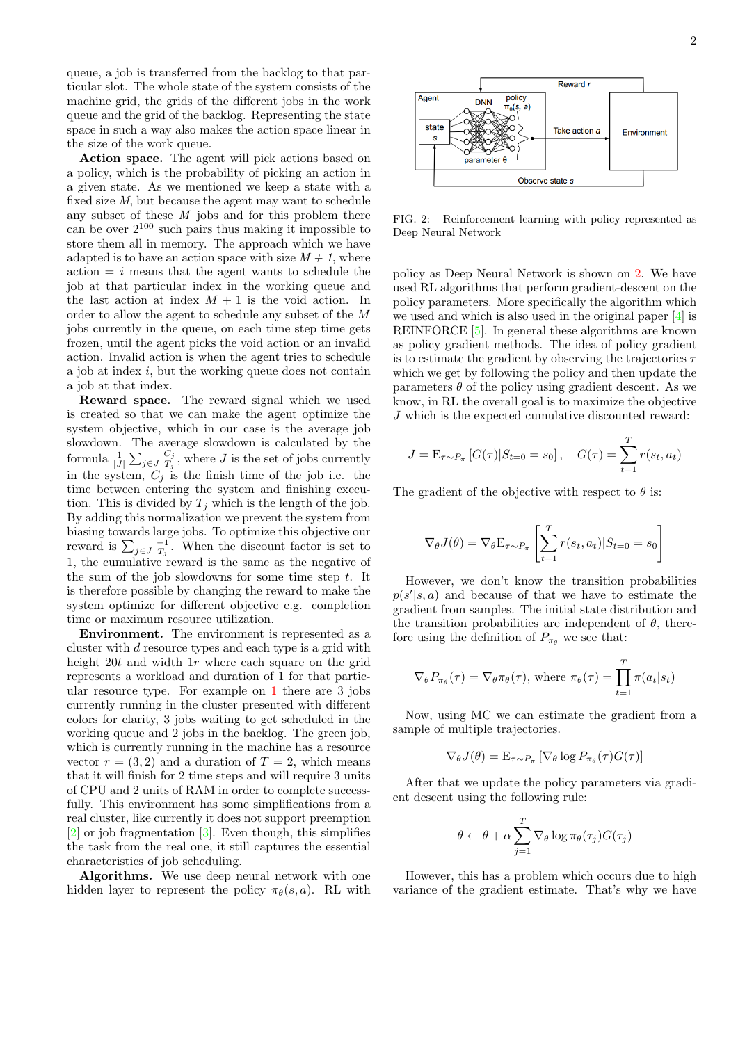queue, a job is transferred from the backlog to that particular slot. The whole state of the system consists of the machine grid, the grids of the different jobs in the work queue and the grid of the backlog. Representing the state space in such a way also makes the action space linear in the size of the work queue.

Action space. The agent will pick actions based on a policy, which is the probability of picking an action in a given state. As we mentioned we keep a state with a fixed size M, but because the agent may want to schedule any subset of these  $M$  jobs and for this problem there can be over  $2^{100}$  such pairs thus making it impossible to store them all in memory. The approach which we have adapted is to have an action space with size  $M + 1$ , where  $\alpha$  action  $= i$  means that the agent wants to schedule the job at that particular index in the working queue and the last action at index  $M + 1$  is the void action. In order to allow the agent to schedule any subset of the M jobs currently in the queue, on each time step time gets frozen, until the agent picks the void action or an invalid action. Invalid action is when the agent tries to schedule a job at index i, but the working queue does not contain a job at that index.

Reward space. The reward signal which we used is created so that we can make the agent optimize the system objective, which in our case is the average job slowdown. The average slowdown is calculated by the formula  $\frac{1}{|J|} \sum_{j \in J} \frac{C_j}{T_j}$  $\frac{C_j}{T_j}$ , where J is the set of jobs currently in the system,  $C_i$  is the finish time of the job i.e. the time between entering the system and finishing execution. This is divided by  $T_i$  which is the length of the job. By adding this normalization we prevent the system from biasing towards large jobs. To optimize this objective our reward is  $\sum_{j\in J}\frac{-1}{T_j}$ . When the discount factor is set to 1, the cumulative reward is the same as the negative of the sum of the job slowdowns for some time step  $t$ . It is therefore possible by changing the reward to make the system optimize for different objective e.g. completion time or maximum resource utilization.

Environment. The environment is represented as a cluster with d resource types and each type is a grid with height 20t and width 1r where each square on the grid represents a workload and duration of 1 for that particular resource type. For example on [1](#page-0-2) there are 3 jobs currently running in the cluster presented with different colors for clarity, 3 jobs waiting to get scheduled in the working queue and 2 jobs in the backlog. The green job, which is currently running in the machine has a resource vector  $r = (3, 2)$  and a duration of  $T = 2$ , which means that it will finish for 2 time steps and will require 3 units of CPU and 2 units of RAM in order to complete successfully. This environment has some simplifications from a real cluster, like currently it does not support preemption [\[2\]](#page-4-1) or job fragmentation [\[3\]](#page-4-2). Even though, this simplifies the task from the real one, it still captures the essential characteristics of job scheduling.

Algorithms. We use deep neural network with one hidden layer to represent the policy  $\pi_{\theta}(s, a)$ . RL with



<span id="page-1-0"></span>FIG. 2: Reinforcement learning with policy represented as Deep Neural Network

policy as Deep Neural Network is shown on [2.](#page-1-0) We have used RL algorithms that perform gradient-descent on the policy parameters. More specifically the algorithm which we used and which is also used in the original paper [\[4\]](#page-4-3) is REINFORCE [\[5\]](#page-4-4). In general these algorithms are known as policy gradient methods. The idea of policy gradient is to estimate the gradient by observing the trajectories  $\tau$ which we get by following the policy and then update the parameters  $\theta$  of the policy using gradient descent. As we know, in RL the overall goal is to maximize the objective J which is the expected cumulative discounted reward:

$$
J = \mathbf{E}_{\tau \sim P_{\pi}} [G(\tau) | S_{t=0} = s_0], \quad G(\tau) = \sum_{t=1}^{T} r(s_t, a_t)
$$

The gradient of the objective with respect to  $\theta$  is:

$$
\nabla_{\theta} J(\theta) = \nabla_{\theta} \mathbf{E}_{\tau \sim P_{\pi}} \left[ \sum_{t=1}^{T} r(s_t, a_t) | S_{t=0} = s_0 \right]
$$

However, we don't know the transition probabilities  $p(s'|s, a)$  and because of that we have to estimate the gradient from samples. The initial state distribution and the transition probabilities are independent of  $\theta$ , therefore using the definition of  $P_{\pi_{\theta}}$  we see that:

$$
\nabla_{\theta} P_{\pi_{\theta}}(\tau) = \nabla_{\theta} \pi_{\theta}(\tau), \text{ where } \pi_{\theta}(\tau) = \prod_{t=1}^{T} \pi(a_t | s_t)
$$

Now, using MC we can estimate the gradient from a sample of multiple trajectories.

$$
\nabla_{\theta} J(\theta) = \mathbf{E}_{\tau \sim P_{\pi}} \left[ \nabla_{\theta} \log P_{\pi_{\theta}}(\tau) G(\tau) \right]
$$

After that we update the policy parameters via gradient descent using the following rule:

$$
\theta \leftarrow \theta + \alpha \sum_{j=1}^{T} \nabla_{\theta} \log \pi_{\theta}(\tau_j) G(\tau_j)
$$

However, this has a problem which occurs due to high variance of the gradient estimate. That's why we have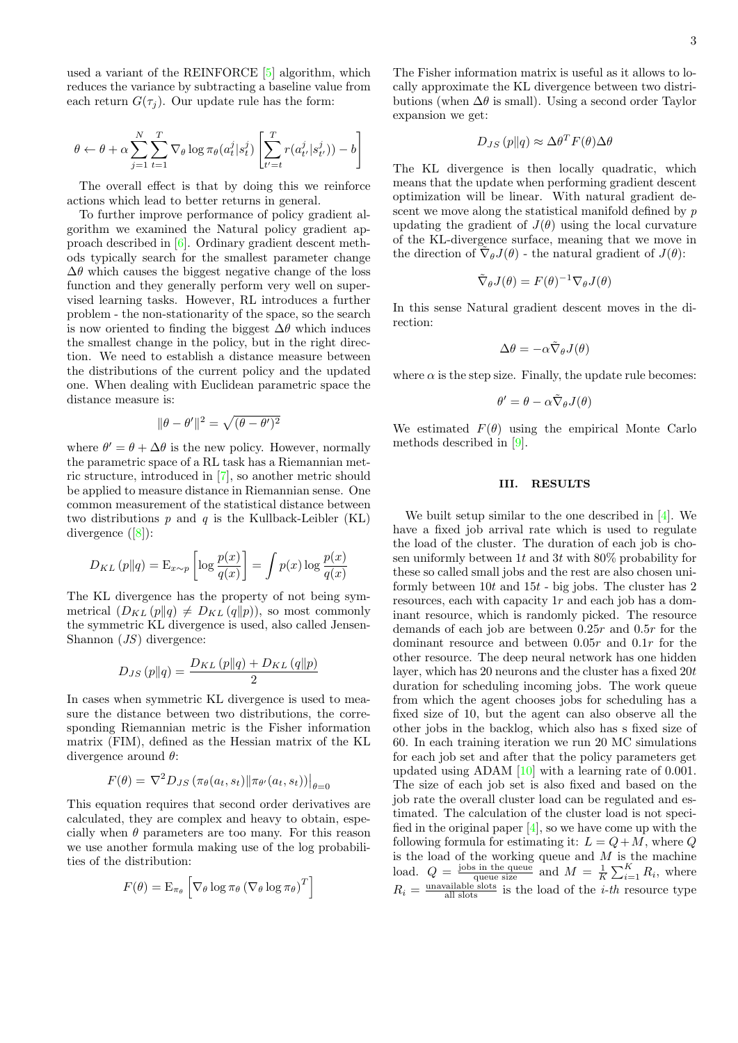used a variant of the REINFORCE [\[5\]](#page-4-4) algorithm, which reduces the variance by subtracting a baseline value from each return  $G(\tau_i)$ . Our update rule has the form:

$$
\theta \leftarrow \theta + \alpha \sum_{j=1}^N \sum_{t=1}^T \nabla_{\theta} \log \pi_{\theta}(a_t^j | s_t^j) \left[ \sum_{t'=t}^T r(a_{t'}^j | s_{t'}^j)) - b \right]
$$

The overall effect is that by doing this we reinforce actions which lead to better returns in general.

To further improve performance of policy gradient algorithm we examined the Natural policy gradient approach described in [\[6\]](#page-4-5). Ordinary gradient descent methods typically search for the smallest parameter change  $\Delta\theta$  which causes the biggest negative change of the loss function and they generally perform very well on supervised learning tasks. However, RL introduces a further problem - the non-stationarity of the space, so the search is now oriented to finding the biggest  $\Delta\theta$  which induces the smallest change in the policy, but in the right direction. We need to establish a distance measure between the distributions of the current policy and the updated one. When dealing with Euclidean parametric space the distance measure is:

$$
\|\theta - \theta'\|^2 = \sqrt{(\theta - \theta')^2}
$$

where  $\theta' = \theta + \Delta\theta$  is the new policy. However, normally the parametric space of a RL task has a Riemannian metric structure, introduced in [\[7\]](#page-4-6), so another metric should be applied to measure distance in Riemannian sense. One common measurement of the statistical distance between two distributions  $p$  and  $q$  is the Kullback-Leibler (KL) divergence ([\[8\]](#page-4-7)):

$$
D_{KL}(p||q) = \mathcal{E}_{x \sim p} \left[ \log \frac{p(x)}{q(x)} \right] = \int p(x) \log \frac{p(x)}{q(x)}
$$

The KL divergence has the property of not being symmetrical  $(D_{KL}(p||q) \neq D_{KL}(q||p))$ , so most commonly the symmetric KL divergence is used, also called Jensen-Shannon (JS) divergence:

$$
D_{JS}(p||q) = \frac{D_{KL}(p||q) + D_{KL}(q||p)}{2}
$$

In cases when symmetric KL divergence is used to measure the distance between two distributions, the corresponding Riemannian metric is the Fisher information matrix (FIM), defined as the Hessian matrix of the KL divergence around  $\theta$ :

$$
F(\theta) = \nabla^2 D_{JS} (\pi_{\theta}(a_t, s_t) || \pi_{\theta'}(a_t, s_t)) \big|_{\theta=0}
$$

This equation requires that second order derivatives are calculated, they are complex and heavy to obtain, especially when  $\theta$  parameters are too many. For this reason we use another formula making use of the log probabilities of the distribution:

$$
F(\theta) = \mathcal{E}_{\pi_{\theta}} \left[ \nabla_{\theta} \log \pi_{\theta} \left( \nabla_{\theta} \log \pi_{\theta} \right)^{T} \right]
$$

The Fisher information matrix is useful as it allows to locally approximate the KL divergence between two distributions (when  $\Delta\theta$  is small). Using a second order Taylor expansion we get:

$$
D_{JS}(p||q) \approx \Delta \theta^T F(\theta) \Delta \theta
$$

The KL divergence is then locally quadratic, which means that the update when performing gradient descent optimization will be linear. With natural gradient descent we move along the statistical manifold defined by p updating the gradient of  $J(\theta)$  using the local curvature of the KL-divergence surface, meaning that we move in the direction of  $\tilde{\nabla}_{\theta} J(\theta)$  - the natural gradient of  $J(\theta)$ :

$$
\tilde{\nabla}_{\theta}J(\theta) = F(\theta)^{-1}\nabla_{\theta}J(\theta)
$$

In this sense Natural gradient descent moves in the direction:

$$
\Delta \theta = - \alpha \tilde{\nabla}_{\theta} J(\theta)
$$

where  $\alpha$  is the step size. Finally, the update rule becomes:

$$
\theta' = \theta - \alpha \tilde{\nabla}_{\theta} J(\theta)
$$

We estimated  $F(\theta)$  using the empirical Monte Carlo methods described in [\[9\]](#page-4-8).

### <span id="page-2-0"></span>III. RESULTS

We built setup similar to the one described in [\[4\]](#page-4-3). We have a fixed job arrival rate which is used to regulate the load of the cluster. The duration of each job is chosen uniformly between 1t and 3t with  $80\%$  probability for these so called small jobs and the rest are also chosen uniformly between  $10t$  and  $15t$  - big jobs. The cluster has 2 resources, each with capacity  $1r$  and each job has a dominant resource, which is randomly picked. The resource demands of each job are between 0.25r and 0.5r for the dominant resource and between 0.05r and 0.1r for the other resource. The deep neural network has one hidden layer, which has 20 neurons and the cluster has a fixed 20t duration for scheduling incoming jobs. The work queue from which the agent chooses jobs for scheduling has a fixed size of 10, but the agent can also observe all the other jobs in the backlog, which also has s fixed size of 60. In each training iteration we run 20 MC simulations for each job set and after that the policy parameters get updated using ADAM [\[10\]](#page-4-9) with a learning rate of 0.001. The size of each job set is also fixed and based on the job rate the overall cluster load can be regulated and estimated. The calculation of the cluster load is not specified in the original paper  $[4]$ , so we have come up with the following formula for estimating it:  $L = Q + M$ , where Q is the load of the working queue and  $M$  is the machine load.  $Q = \frac{\text{jobs in the queue}}{\text{queue size}}$  and  $M = \frac{1}{K} \sum_{i=1}^{K} R_i$ , where  $R_i = \frac{\text{unavailable slots}}{\text{all slots}}$  is the load of the *i-th* resource type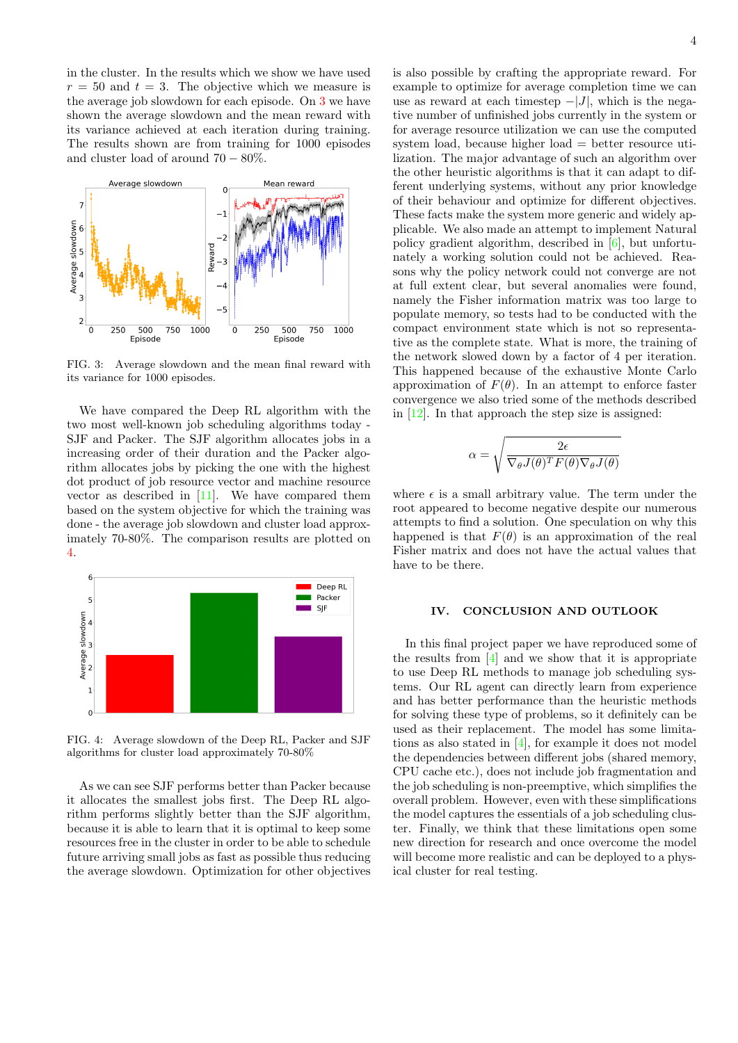in the cluster. In the results which we show we have used  $r = 50$  and  $t = 3$ . The objective which we measure is the average job slowdown for each episode. On [3](#page-3-0) we have shown the average slowdown and the mean reward with its variance achieved at each iteration during training. The results shown are from training for 1000 episodes and cluster load of around  $70 - 80\%$ .



<span id="page-3-0"></span>FIG. 3: Average slowdown and the mean final reward with its variance for 1000 episodes.

We have compared the Deep RL algorithm with the two most well-known job scheduling algorithms today - SJF and Packer. The SJF algorithm allocates jobs in a increasing order of their duration and the Packer algorithm allocates jobs by picking the one with the highest dot product of job resource vector and machine resource vector as described in [\[11\]](#page-4-10). We have compared them based on the system objective for which the training was done - the average job slowdown and cluster load approximately 70-80%. The comparison results are plotted on [4.](#page-3-1)



<span id="page-3-1"></span>FIG. 4: Average slowdown of the Deep RL, Packer and SJF algorithms for cluster load approximately 70-80%

As we can see SJF performs better than Packer because it allocates the smallest jobs first. The Deep RL algorithm performs slightly better than the SJF algorithm, because it is able to learn that it is optimal to keep some resources free in the cluster in order to be able to schedule future arriving small jobs as fast as possible thus reducing the average slowdown. Optimization for other objectives is also possible by crafting the appropriate reward. For example to optimize for average completion time we can use as reward at each timestep  $-|J|$ , which is the negative number of unfinished jobs currently in the system or for average resource utilization we can use the computed system load, because higher load = better resource utilization. The major advantage of such an algorithm over the other heuristic algorithms is that it can adapt to different underlying systems, without any prior knowledge of their behaviour and optimize for different objectives. These facts make the system more generic and widely applicable. We also made an attempt to implement Natural policy gradient algorithm, described in [\[6\]](#page-4-5), but unfortunately a working solution could not be achieved. Reasons why the policy network could not converge are not at full extent clear, but several anomalies were found, namely the Fisher information matrix was too large to populate memory, so tests had to be conducted with the compact environment state which is not so representative as the complete state. What is more, the training of the network slowed down by a factor of 4 per iteration. This happened because of the exhaustive Monte Carlo approximation of  $F(\theta)$ . In an attempt to enforce faster convergence we also tried some of the methods described in  $[12]$ . In that approach the step size is assigned:

$$
\alpha = \sqrt{\frac{2\epsilon}{\nabla_{\theta}J(\theta)^{T}F(\theta)\nabla_{\theta}J(\theta)}}
$$

where  $\epsilon$  is a small arbitrary value. The term under the root appeared to become negative despite our numerous attempts to find a solution. One speculation on why this happened is that  $F(\theta)$  is an approximation of the real Fisher matrix and does not have the actual values that have to be there.

### IV. CONCLUSION AND OUTLOOK

In this final project paper we have reproduced some of the results from  $[4]$  and we show that it is appropriate to use Deep RL methods to manage job scheduling systems. Our RL agent can directly learn from experience and has better performance than the heuristic methods for solving these type of problems, so it definitely can be used as their replacement. The model has some limitations as also stated in [\[4\]](#page-4-3), for example it does not model the dependencies between different jobs (shared memory, CPU cache etc.), does not include job fragmentation and the job scheduling is non-preemptive, which simplifies the overall problem. However, even with these simplifications the model captures the essentials of a job scheduling cluster. Finally, we think that these limitations open some new direction for research and once overcome the model will become more realistic and can be deployed to a physical cluster for real testing.